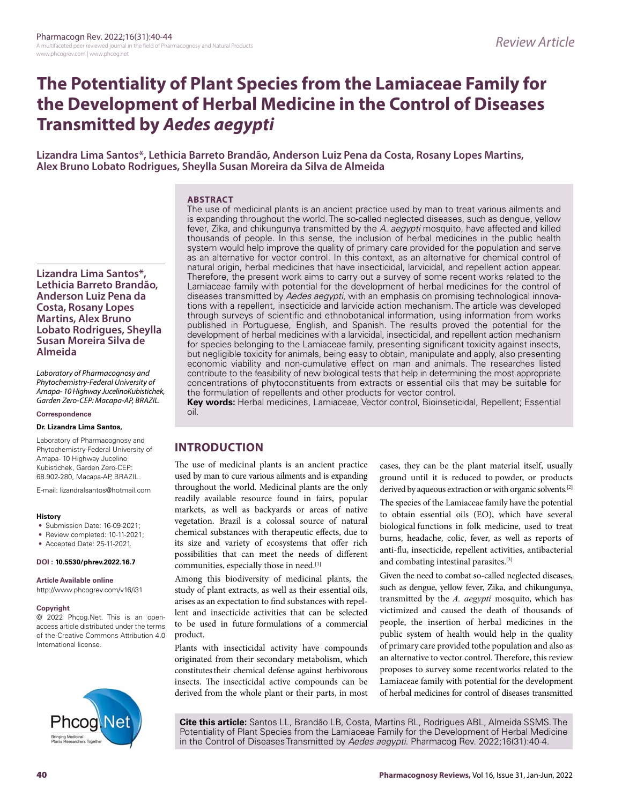# **The Potentiality of Plant Species from the Lamiaceae Family for the Development of Herbal Medicine in the Control of Diseases Transmitted by** *Aedes aegypti*

**Lizandra Lima Santos\*, Lethicia Barreto Brandão, Anderson Luiz Pena da Costa, Rosany Lopes Martins, Alex Bruno Lobato Rodrigues, Sheylla Susan Moreira da Silva de Almeida**

#### **ARSTRACT** The use of medicinal plants is an ancient practice used by man to treat various ailments and

is expanding throughout the world. The so-called neglected diseases, such as dengue, yellow fever, Zika, and chikungunya transmitted by the *A. aegypti* mosquito, have affected and killed thousands of people. In this sense, the inclusion of herbal medicines in the public health system would help improve the quality of primary care provided for the population and serve as an alternative for vector control. In this context, as an alternative for chemical control of natural origin, herbal medicines that have insecticidal, larvicidal, and repellent action appear. Therefore, the present work aims to carry out a survey of some recent works related to the Lamiaceae family with potential for the development of herbal medicines for the control of diseases transmitted by *Aedes aegypti*, with an emphasis on promising technological innovations with a repellent, insecticide and larvicide action mechanism. The article was developed through surveys of scientific and ethnobotanical information, using information from works published in Portuguese, English, and Spanish. The results proved the potential for the development of herbal medicines with a larvicidal, insecticidal, and repellent action mechanism for species belonging to the Lamiaceae family, presenting significant toxicity against insects, but negligible toxicity for animals, being easy to obtain, manipulate and apply, also presenting economic viability and non-cumulative effect on man and animals. The researches listed contribute to the feasibility of new biological tests that help in determining the most appropriate concentrations of phytoconstituents from extracts or essential oils that may be suitable for the formulation of repellents and other products for vector control.

**Key words:** Herbal medicines, Lamiaceae, Vector control, Bioinseticidal, Repellent; Essential oil.

## **INTRODUCTION**

The use of medicinal plants is an ancient practice used by man to cure various ailments and is expanding throughout the world. Medicinal plants are the only readily available resource found in fairs, popular markets, as well as backyards or areas of native vegetation. Brazil is a colossal source of natural chemical substances with therapeutic effects, due to its size and variety of ecosystems that offer rich possibilities that can meet the needs of different communities, especially those in need.[1]

Among this biodiversity of medicinal plants, the study of plant extracts, as well as their essential oils, arises as an expectation to find substances with repellent and insecticide activities that can be selected to be used in future formulations of a commercial product.

Plants with insecticidal activity have compounds originated from their secondary metabolism, which constitutes their chemical defense against herbivorous insects. The insecticidal active compounds can be derived from the whole plant or their parts, in most cases, they can be the plant material itself, usually ground until it is reduced to powder, or products derived by aqueous extraction or with organic solvents.<sup>[2]</sup> The species of the Lamiaceae family have the potential to obtain essential oils (EO), which have several biological functions in folk medicine, used to treat burns, headache, colic, fever, as well as reports of anti-flu, insecticide, repellent activities, antibacterial and combating intestinal parasites.[3]

Given the need to combat so-called neglected diseases, such as dengue, yellow fever, Zika, and chikungunya, transmitted by the *A. aegypti* mosquito, which has victimized and caused the death of thousands of people, the insertion of herbal medicines in the public system of health would help in the quality of primary care provided tothe population and also as an alternative to vector control. Therefore, this review proposes to survey some recentworks related to the Lamiaceae family with potential for the development of herbal medicines for control of diseases transmitted

**Cite this article:** Santos LL, Brandão LB, Costa, Martins RL, Rodrigues ABL, Almeida SSMS. The Potentiality of Plant Species from the Lamiaceae Family for the Development of Herbal Medicine in the Control of Diseases Transmitted by *Aedes aegypti*. Pharmacog Rev. 2022;16(31):40-4.

**Lizandra Lima Santos\*, Lethicia Barreto Brandão, Anderson Luiz Pena da Costa, Rosany Lopes Martins, Alex Bruno Lobato Rodrigues, Sheylla Susan Moreira Silva de Almeida**

*Laboratory of Pharmacognosy and Phytochemistry-Federal University of Amapa- 10 Highway JucelinoKubistichek, Garden Zero-CEP: Macapa-AP, BRAZIL.*

## **Correspondence**

#### **Dr. Lizandra Lima Santos,**

Laboratory of Pharmacognosy and Phytochemistry-Federal University of Amapa- 10 Highway Jucelino Kubistichek, Garden Zero-CEP: 68.902-280, Macapa-AP, BRAZIL.

E-mail: lizandralsantos@hotmail.com

#### **History**

- Submission Date: 16-09-2021;
- Review completed: 10-11-2021;
- Accepted Date: 25-11-2021.

### **DOI : 10.5530/phrev.2022.16.7**

**Article Available online** 

http://www.phcogrev.com/v16/i31

#### **Copyright**

© 2022 Phcog.Net. This is an openaccess article distributed under the terms of the Creative Commons Attribution 4.0 International license.

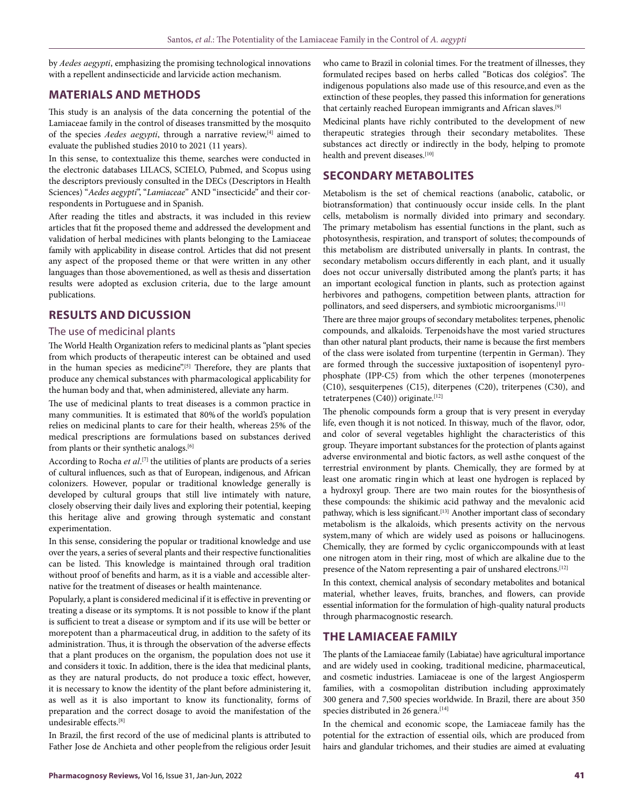by *Aedes aegypti*, emphasizing the promising technological innovations with a repellent andinsecticide and larvicide action mechanism.

# **MATERIALS AND METHODS**

This study is an analysis of the data concerning the potential of the Lamiaceae family in the control of diseases transmitted by the mosquito of the species *Aedes aegypti*, through a narrative review,[4] aimed to evaluate the published studies 2010 to 2021 (11 years).

In this sense, to contextualize this theme, searches were conducted in the electronic databases LILACS, SCIELO, Pubmed, and Scopus using the descriptors previously consulted in the DECs (Descriptors in Health Sciences) "*Aedes aegypti*", "*Lamiaceae*" AND "insecticide" and their correspondents in Portuguese and in Spanish.

After reading the titles and abstracts, it was included in this review articles that fit the proposed theme and addressed the development and validation of herbal medicines with plants belonging to the Lamiaceae family with applicability in disease control. Articles that did not present any aspect of the proposed theme or that were written in any other languages than those abovementioned, as well as thesis and dissertation results were adopted as exclusion criteria, due to the large amount publications.

# **RESULTS AND DICUSSION**

## The use of medicinal plants

The World Health Organization refers to medicinal plants as "plant species from which products of therapeutic interest can be obtained and used in the human species as medicine".<sup>[5]</sup> Therefore, they are plants that produce any chemical substances with pharmacological applicability for the human body and that, when administered, alleviate any harm.

The use of medicinal plants to treat diseases is a common practice in many communities. It is estimated that 80%of the world's population relies on medicinal plants to care for their health, whereas 25% of the medical prescriptions are formulations based on substances derived from plants or their synthetic analogs.<sup>[6]</sup>

According to Rocha et al.<sup>[7]</sup> the utilities of plants are products of a series of cultural influences, such as that of European, indigenous, and African colonizers. However, popular or traditional knowledge generally is developed by cultural groups that still live intimately with nature, closely observing their daily lives and exploring their potential, keeping this heritage alive and growing through systematic and constant experimentation.

In this sense, considering the popular or traditional knowledge and use over the years, a series of several plants and their respective functionalities can be listed. This knowledge is maintained through oral tradition without proof of benefits and harm, as it is a viable and accessible alternative for the treatment of diseases or health maintenance.

Popularly, a plant is considered medicinal if it is effective in preventing or treating a disease or its symptoms. It is not possible to know if the plant is sufficient to treat a disease or symptom and if its use will be better or morepotent than a pharmaceutical drug, in addition to the safety of its administration. Thus, it is through the observation of the adverse effects that a plant produces on the organism, the population does not use it and considers it toxic. In addition, there is the idea that medicinal plants, as they are natural products, do not produce a toxic effect, however, it is necessary to know the identity of the plant before administering it, as well as it is also important to know its functionality, forms of preparation and the correct dosage to avoid the manifestation of the undesirable effects.[8]

In Brazil, the first record of the use of medicinal plants is attributed to Father Jose de Anchieta and other people from the religious order Jesuit who came to Brazil in colonial times. For the treatment of illnesses, they formulated recipes based on herbs called "Boticas dos colégios". The indigenous populations also made use of this resource,and even as the extinction of these peoples, they passed this information for generations that certainly reached European immigrants and African slaves.<sup>[9]</sup>

Medicinal plants have richly contributed to the development of new therapeutic strategies through their secondary metabolites. These substances act directly or indirectly in the body, helping to promote health and prevent diseases.[10]

# **SECONDARY METABOLITES**

Metabolism is the set of chemical reactions (anabolic, catabolic, or biotransformation) that continuously occur inside cells. In the plant cells, metabolism is normally divided into primary and secondary. The primary metabolism has essential functions in the plant, such as photosynthesis, respiration, and transport of solutes; thecompounds of this metabolism are distributed universally in plants. In contrast, the secondary metabolism occurs differently in each plant, and it usually does not occur universally distributed among the plant's parts; it has an important ecological function in plants, such as protection against herbivores and pathogens, competition between plants, attraction for pollinators, and seed dispersers, and symbiotic microorganisms.[11]

There are three major groups of secondary metabolites: terpenes, phenolic compounds, and alkaloids. Terpenoidshave the most varied structures than other natural plant products, their name is because the first members of the class were isolated from turpentine (terpentin in German). They are formed through the successive juxtaposition of isopentenyl pyrophosphate (IPP-C5) from which the other terpenes (monoterpenes (C10), sesquiterpenes (C15), diterpenes (C20), triterpenes (C30), and tetraterpenes  $(C40)$ ) originate.<sup>[12]</sup>

The phenolic compounds form a group that is very present in everyday life, even though it is not noticed. In thisway, much of the flavor, odor, and color of several vegetables highlight the characteristics of this group. Theyare important substances for the protection of plants against adverse environmental and biotic factors, as well asthe conquest of the terrestrial environment by plants. Chemically, they are formed by at least one aromatic ringin which at least one hydrogen is replaced by a hydroxyl group. There are two main routes for the biosynthesis of these compounds: the shikimic acid pathway and the mevalonic acid pathway, which is less significant.<sup>[13]</sup> Another important class of secondary metabolism is the alkaloids, which presents activity on the nervous system,many of which are widely used as poisons or hallucinogens. Chemically, they are formed by cyclic organiccompounds with at least one nitrogen atom in their ring, most of which are alkaline due to the presence of the Natom representing a pair of unshared electrons.<sup>[12]</sup>

In this context, chemical analysis of secondary metabolites and botanical material, whether leaves, fruits, branches, and flowers, can provide essential information for the formulation of high-quality natural products through pharmacognostic research.

# **THE LAMIACEAE FAMILY**

The plants of the Lamiaceae family (Labiatae) have agricultural importance and are widely used in cooking, traditional medicine, pharmaceutical, and cosmetic industries. Lamiaceae is one of the largest Angiosperm families, with a cosmopolitan distribution including approximately 300 genera and 7,500 species worldwide. In Brazil, there are about 350 species distributed in 26 genera.<sup>[14]</sup>

In the chemical and economic scope, the Lamiaceae family has the potential for the extraction of essential oils, which are produced from hairs and glandular trichomes, and their studies are aimed at evaluating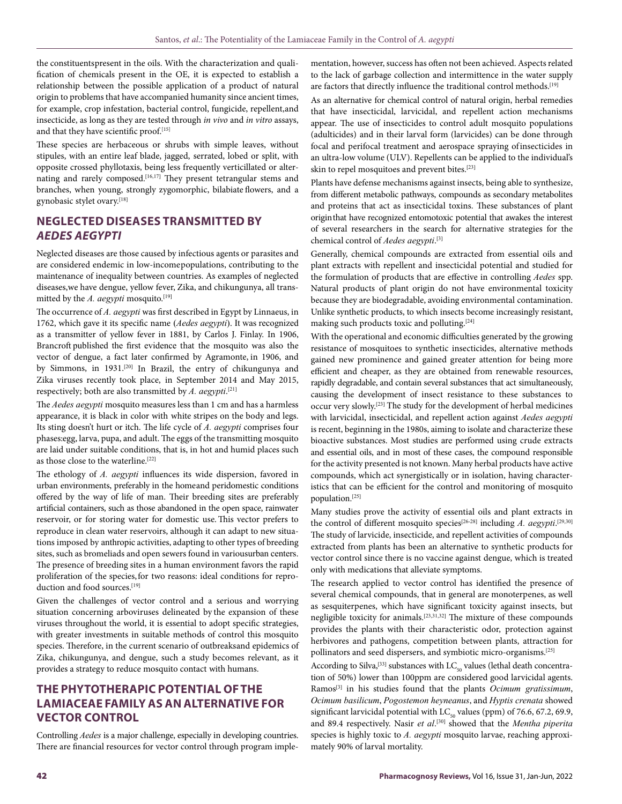the constituents present in the oils. With the characterization and qualification of chemicals present in the OE, it is expected to establish a relationship between the possible application of a product of natural origin to problems that have accompanied humanity since ancient times, for example, crop infestation, bacterial control, fungicide, repellent, and insecticide, as long as they are tested through *in vivo* and *in vitro* assays, and that they have scientific proof.<sup>[15]</sup>

These species are herbaceous or shrubs with simple leaves, without stipules, with an entire leaf blade, jagged, serrated, lobed or split, with opposite crossed phyllotaxis, being less frequently verticillated or alternating and rarely composed.<sup>[16,17]</sup> They present tetrangular stems and branches, when young, strongly zygomorphic, bilabiate flowers, and a gynobasic stylet ovary.[18]

# **NEGLECTED DISEASES TRANSMITTED BY**  *AEDES AEGYPTI*

Neglected diseases are those caused by infectious agents or parasites and are considered endemic in low-incomepopulations, contributing to the maintenance of inequality between countries. As examples of neglected diseases,we have dengue, yellow fever, Zika, and chikungunya, all transmitted by the *A. aegypti* mosquito.<sup>[19]</sup>

The occurrence of *A. aegypti* was first described in Egypt by Linnaeus, in 1762, which gave it its specific name (*Aedes aegypti*). It was recognized as a transmitter of yellow fever in 1881, by Carlos J. Finlay. In 1906, Brancroft published the first evidence that the mosquito was also the vector of dengue, a fact later confirmed by Agramonte, in 1906, and by Simmons, in 1931.[20] In Brazil, the entry of chikungunya and Zika viruses recently took place, in September 2014 and May 2015, respectively; both are also transmitted by *A. aegypti*. [21]

The *Aedes aegypti* mosquito measures less than 1 cm and has a harmless appearance, it is black in color with white stripes on the body and legs. Its sting doesn't hurt or itch. The life cycle of *A. aegypti* comprises four phases:egg, larva, pupa, and adult. The eggs of the transmitting mosquito are laid under suitable conditions, that is, in hot and humid places such as those close to the waterline.[22]

The ethology of *A. aegypti* influences its wide dispersion, favored in urban environments, preferably in the homeand peridomestic conditions offered by the way of life of man. Their breeding sites are preferably artificial containers, such as those abandoned in the open space, rainwater reservoir, or for storing water for domestic use.This vector prefers to reproduce in clean water reservoirs, although it can adapt to new situations imposed by anthropic activities, adapting to other types of breeding sites, such as bromeliads and open sewers found in various urban centers. The presence of breeding sites in a human environment favors the rapid proliferation of the species,for two reasons: ideal conditions for reproduction and food sources.[19]

Given the challenges of vector control and a serious and worrying situation concerning arboviruses delineated by the expansion of these viruses throughout the world, it is essential to adopt specific strategies, with greater investments in suitable methods of control this mosquito species. Therefore, in the current scenario of outbreaksand epidemics of Zika, chikungunya, and dengue, such a study becomes relevant, as it provides a strategy to reduce mosquito contact with humans.

# **THE PHYTOTHERAPIC POTENTIAL OF THE LAMIACEAE FAMILY AS AN ALTERNATIVE FOR VECTOR CONTROL**

Controlling *Aedes* is a major challenge, especially in developing countries. There are financial resources for vector control through program implementation, however, success has often not been achieved. Aspects related to the lack of garbage collection and intermittence in the water supply are factors that directly influence the traditional control methods.<sup>[19]</sup>

As an alternative for chemical control of natural origin, herbal remedies that have insecticidal, larvicidal, and repellent action mechanisms appear. The use of insecticides to control adult mosquito populations (adulticides) and in their larval form (larvicides) can be done through focal and perifocal treatment and aerospace spraying ofinsecticides in an ultra-low volume (ULV). Repellents can be applied to the individual's skin to repel mosquitoes and prevent bites.[23]

Plants have defense mechanisms against insects, being able to synthesize, from different metabolic pathways, compounds as secondary metabolites and proteins that act as insecticidal toxins. These substances of plant originthat have recognized entomotoxic potential that awakes the interest of several researchers in the search for alternative strategies for the chemical control of *Aedes aegypti*. [3]

Generally, chemical compounds are extracted from essential oils and plant extracts with repellent and insecticidal potential and studied for the formulation of products that are effective in controlling *Aedes* spp. Natural products of plant origin do not have environmental toxicity because they are biodegradable, avoiding environmental contamination. Unlike synthetic products, to which insects become increasingly resistant, making such products toxic and polluting.[24]

With the operational and economic difficulties generated by the growing resistance of mosquitoes to synthetic insecticides, alternative methods gained new prominence and gained greater attention for being more efficient and cheaper, as they are obtained from renewable resources, rapidly degradable, and contain several substances that act simultaneously, causing the development of insect resistance to these substances to occur very slowly.[23] The study for the development of herbal medicines with larvicidal, insecticidal, and repellent action against *Aedes aegypti*  is recent, beginning in the 1980s, aiming to isolate and characterize these bioactive substances. Most studies are performed using crude extracts and essential oils, and in most of these cases, the compound responsible for the activity presented is not known. Many herbal products have active compounds, which act synergistically or in isolation, having characteristics that can be efficient for the control and monitoring of mosquito population.[25]

Many studies prove the activity of essential oils and plant extracts in the control of different mosquito species<sup>[26-28]</sup> including *A. aegypti*.<sup>[29,30]</sup> The study of larvicide, insecticide, and repellent activities of compounds extracted from plants has been an alternative to synthetic products for vector control since there is no vaccine against dengue, which is treated only with medications that alleviate symptoms.

The research applied to vector control has identified the presence of several chemical compounds, that in general are monoterpenes, as well as sesquiterpenes, which have significant toxicity against insects, but negligible toxicity for animals.[23,31,32] The mixture of these compounds provides the plants with their characteristic odor, protection against herbivores and pathogens, competition between plants, attraction for pollinators and seed dispersers, and symbiotic micro-organisms.[25]

According to Silva,<sup>[33]</sup> substances with  $LC_{50}$  values (lethal death concentration of 50%) lower than 100ppm are considered good larvicidal agents. Ramos[3] in his studies found that the plants *Ocimum gratissimum*, *Ocimum basilicum*, *Pogostemon heyneanus*, and *Hyptis crenata* showed significant larvicidal potential with  $LC_{50}$  values (ppm) of 76.6, 67.2, 69.9, and 89.4 respectively. Nasir *et al*. [30] showed that the *Mentha piperita*  species is highly toxic to *A. aegypti* mosquito larvae, reaching approximately 90% of larval mortality.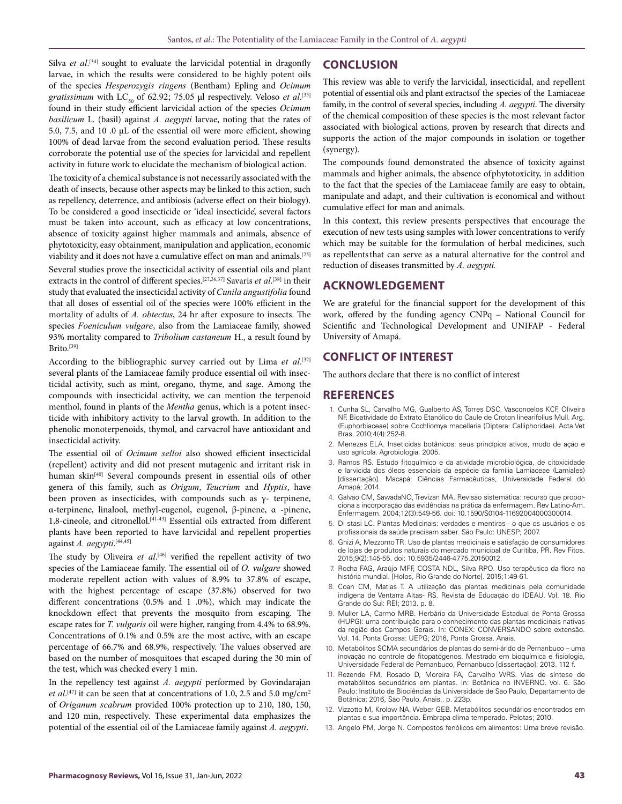Silva *et al*.<sup>[34]</sup> sought to evaluate the larvicidal potential in dragonfly larvae, in which the results were considered to be highly potent oils of the species *Hesperozygis ringens* (Bentham) Epling and *Ocimum*   $gratissimum$  with  $\text{LC}_{_{\text{S0}}}$  of 62.92; 75.05  $\mu$ l respectively. Veloso *et al*.<sup>[35]</sup> found in their study efficient larvicidal action of the species *Ocimum basilicum* L. (basil) against *A. aegypti* larvae, noting that the rates of 5.0, 7.5, and 10 .0 µL of the essential oil were more efficient, showing 100% of dead larvae from the second evaluation period. These results corroborate the potential use of the species for larvicidal and repellent activity in future work to elucidate the mechanism of biological action.

The toxicity of a chemical substance is not necessarily associated with the death of insects, because other aspects may be linked to this action, such as repellency, deterrence, and antibiosis (adverse effect on their biology). To be considered a good insecticide or 'ideal insecticide', several factors must be taken into account, such as efficacy at low concentrations, absence of toxicity against higher mammals and animals, absence of phytotoxicity, easy obtainment, manipulation and application, economic viability and it does not have a cumulative effect on man and animals.[25] Several studies prove the insecticidal activity of essential oils and plant extracts in the control of different species.[27,36,37] Savaris *et al*. [38] in their study that evaluated the insecticidal activity of *Cunila angustifolia* found that all doses of essential oil of the species were 100% efficient in the mortality of adults of *A. obtectus*, 24 hr after exposure to insects. The species *Foeniculum vulgare*, also from the Lamiaceae family, showed 93% mortality compared to *Tribolium castaneum* H., a result found by Brito.<sup>[39]</sup>

According to the bibliographic survey carried out by Lima et al.<sup>[32]</sup> several plants of the Lamiaceae family produce essential oil with insecticidal activity, such as mint, oregano, thyme, and sage. Among the compounds with insecticidal activity, we can mention the terpenoid menthol, found in plants of the *Mentha* genus, which is a potent insecticide with inhibitory activity to the larval growth. In addition to the phenolic monoterpenoids, thymol, and carvacrol have antioxidant and insecticidal activity.

The essential oil of *Ocimum selloi* also showed efficient insecticidal (repellent) activity and did not present mutagenic and irritant risk in human skin<sup>[40]</sup> Several compounds present in essential oils of other genera of this family, such as *Origum*, *Teucrium* and *Hyptis*, have been proven as insecticides, with compounds such as  $\gamma$ - terpinene, α-terpinene, linalool, methyl-eugenol, eugenol, β-pinene, α -pinene, 1,8-cineole, and citronellol.[41-43] Essential oils extracted from different plants have been reported to have larvicidal and repellent properties against *A. aegypti*. [44,45]

The study by Oliveira *et al*. [46] verified the repellent activity of two species of the Lamiaceae family. The essential oil of *O. vulgare* showed moderate repellent action with values of 8.9% to 37.8% of escape, with the highest percentage of escape (37.8%) observed for two different concentrations (0.5% and 1 .0%), which may indicate the knockdown effect that prevents the mosquito from escaping. The escape rates for *T. vulgaris* oil were higher, ranging from 4.4% to 68.9%. Concentrations of 0.1% and 0.5% are the most active, with an escape percentage of 66.7% and 68.9%, respectively. The values observed are based on the number of mosquitoes that escaped during the 30 min of the test, which was checked every 1 min.

In the repellency test against *A. aegypti* performed by Govindarajan *et al.*<sup>[47]</sup> it can be seen that at concentrations of 1.0, 2.5 and 5.0 mg/cm<sup>2</sup> of *Origanum scabrum* provided 100% protection up to 210, 180, 150, and 120 min, respectively. These experimental data emphasizes the potential of the essential oil of the Lamiaceae family against *A. aegypti*.

## **CONCLUSION**

This review was able to verify the larvicidal, insecticidal, and repellent potential of essential oils and plant extractsof the species of the Lamiaceae family, in the control of several species, including *A. aegypti*. The diversity of the chemical composition of these species is the most relevant factor associated with biological actions, proven by research that directs and supports the action of the major compounds in isolation or together (synergy).

The compounds found demonstrated the absence of toxicity against mammals and higher animals, the absence ofphytotoxicity, in addition to the fact that the species of the Lamiaceae family are easy to obtain, manipulate and adapt, and their cultivation is economical and without cumulative effect for man and animals.

In this context, this review presents perspectives that encourage the execution of new tests using samples with lower concentrations to verify which may be suitable for the formulation of herbal medicines, such as repellentsthat can serve as a natural alternative for the control and reduction of diseases transmitted by *A. aegypti.*

## **ACKNOWLEDGEMENT**

We are grateful for the financial support for the development of this work, offered by the funding agency CNPq – National Council for Scientific and Technological Development and UNIFAP - Federal University of Amapá.

## **CONFLICT OF INTEREST**

The authors declare that there is no conflict of interest

## **REFERENCES**

- 1. Cunha SL, Carvalho MG, Gualberto AS, Torres DSC, Vasconcelos KCF, Oliveira NF. Bioatividade do Extrato Etanólico do Caule de Croton linearifolius Mull. Arg. (Euphorbiaceae) sobre Cochliomya macellaria (Diptera: Calliphoridae). Acta Vet Bras. 2010;4(4):252-8.
- 2. Menezes ELA. Inseticidas botânicos: seus princípios ativos, modo de ação e uso agrícola. Agrobiologia. 2005.
- 3. Ramos RS. Estudo fitoquímico e da atividade microbiológica, de citoxicidade e larvicida dos óleos essenciais da espécie da família Lamiaceae (Lamiales) [dissertação]. Macapá: Ciências Farmacêuticas, Universidade Federal do Amapá; 2014.
- 4. Galvão CM, SawadaNO, Trevizan MA. Revisão sistemática: recurso que proporciona a incorporação das evidências na prática da enfermagem. Rev Latino-Am. Enfermagem. 2004;12(3):549-56. doi: 10.1590/S0104-11692004000300014.
- 5. Di stasi LC. Plantas Medicinais: verdades e mentiras o que os usuários e os profissionais da saúde precisam saber. São Paulo: UNESP; 2007.
- 6. Ghizi A, Mezzomo TR. Uso de plantas medicinais e satisfação de consumidores de lojas de produtos naturais do mercado municipal de Curitiba, PR. Rev Fitos. 2015;9(2):145-55. doi: 10.5935/2446-4775.20150012.
- 7. Rocha FAG, Araújo MFF, COSTA NDL, Silva RPO. Uso terapêutico da flora na história mundial. [Holos, Rio Grande do Norte]. 2015;1:49-61.
- 8. Coan CM, Matias T. A utilização das plantas medicinais pela comunidade indígena de Ventarra Altas- RS. Revista de Educação do IDEAU. Vol. 18. Rio Grande do Sul: REI; 2013. p. 8.
- 9. Muller LA, Carmo MRB. Herbário da Universidade Estadual de Ponta Grossa (HUPG): uma contribuição para o conhecimento das plantas medicinais nativas da região dos Campos Gerais. In: CONEX: CONVERSANDO sobre extensão. Vol. 14. Ponta Grossa: UEPG; 2016, Ponta Grossa. Anais.
- 10. Metabólitos SCMA secundários de plantas do semi-árido de Pernanbuco uma inovação no controle de fitopatógenos. Mestrado em bioquímica e fisiologia, Universidade Federal de Pernanbuco, Pernanbuco [dissertação]; 2013. 112 f.
- 11. Rezende FM, Rosado D, Moreira FA, Carvalho WRS. Vias de síntese de metabólitos secundários em plantas. In: Botânica no INVERNO. Vol. 6. São Paulo: Instituto de Biociências da Universidade de São Paulo, Departamento de Botânica; 2016, São Paulo. Anais.. p. 223p.
- 12. Vizzotto M, Krolow NA, Weber GEB. Metabólitos secundários encontrados em plantas e sua importância. Embrapa clima temperado. Pelotas; 2010.
- 13. Angelo PM, Jorge N. Compostos fenólicos em alimentos: Uma breve revisão.